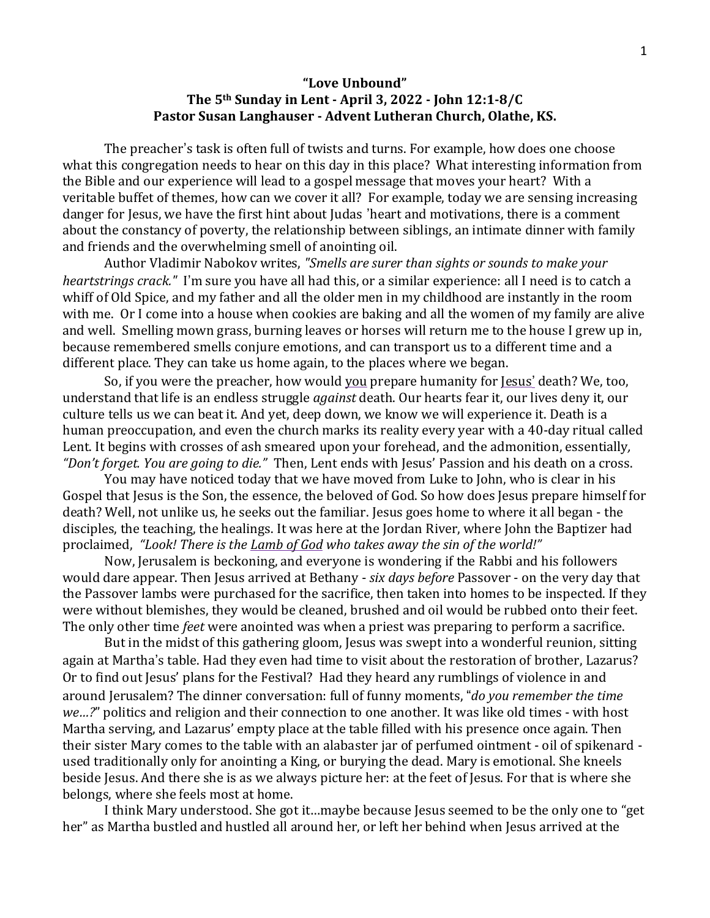## **"Love Unbound" The 5th Sunday in Lent - April 3, 2022 - John 12:1-8/C Pastor Susan Langhauser - Advent Lutheran Church, Olathe, KS.**

The preacher's task is often full of twists and turns. For example, how does one choose what this congregation needs to hear on this day in this place? What interesting information from the Bible and our experience will lead to a gospel message that moves your heart? With a veritable buffet of themes, how can we cover it all? For example, today we are sensing increasing danger for Jesus, we have the first hint about Judas 'heart and motivations, there is a comment about the constancy of poverty, the relationship between siblings, an intimate dinner with family and friends and the overwhelming smell of anointing oil.

Author Vladimir Nabokov writes, *"Smells are surer than sights or sounds to make your heartstrings crack."* I'm sure you have all had this, or a similar experience: all I need is to catch a whiff of Old Spice, and my father and all the older men in my childhood are instantly in the room with me. Or I come into a house when cookies are baking and all the women of my family are alive and well. Smelling mown grass, burning leaves or horses will return me to the house I grew up in, because remembered smells conjure emotions, and can transport us to a different time and a different place. They can take us home again, to the places where we began.

So, if you were the preacher, how would you prepare humanity for Jesus' death? We, too, understand that life is an endless struggle *against* death. Our hearts fear it, our lives deny it, our culture tells us we can beat it. And yet, deep down, we know we will experience it. Death is a human preoccupation, and even the church marks its reality every year with a 40-day ritual called Lent. It begins with crosses of ash smeared upon your forehead, and the admonition, essentially*, "Don't forget. You are going to die."* Then, Lent ends with Jesus' Passion and his death on a cross.

You may have noticed today that we have moved from Luke to John, who is clear in his Gospel that Jesus is the Son, the essence, the beloved of God. So how does Jesus prepare himself for death? Well, not unlike us, he seeks out the familiar. Jesus goes home to where it all began - the disciples, the teaching, the healings. It was here at the Jordan River, where John the Baptizer had proclaimed, *"Look! There is the Lamb of God who takes away the sin of the world!"*

Now, Jerusalem is beckoning, and everyone is wondering if the Rabbi and his followers would dare appear. Then Jesus arrived at Bethany - *six days before* Passover - on the very day that the Passover lambs were purchased for the sacrifice, then taken into homes to be inspected. If they were without blemishes, they would be cleaned, brushed and oil would be rubbed onto their feet. The only other time *feet* were anointed was when a priest was preparing to perform a sacrifice.

But in the midst of this gathering gloom, Jesus was swept into a wonderful reunion, sitting again at Martha's table. Had they even had time to visit about the restoration of brother, Lazarus? Or to find out Jesus' plans for the Festival? Had they heard any rumblings of violence in and around Jerusalem? The dinner conversation: full of funny moments, "*do you remember the time we…?*" politics and religion and their connection to one another. It was like old times - with host Martha serving, and Lazarus' empty place at the table filled with his presence once again. Then their sister Mary comes to the table with an alabaster jar of perfumed ointment - oil of spikenard used traditionally only for anointing a King, or burying the dead. Mary is emotional. She kneels beside Jesus. And there she is as we always picture her: at the feet of Jesus. For that is where she belongs, where she feels most at home.

I think Mary understood. She got it…maybe because Jesus seemed to be the only one to "get her" as Martha bustled and hustled all around her, or left her behind when Jesus arrived at the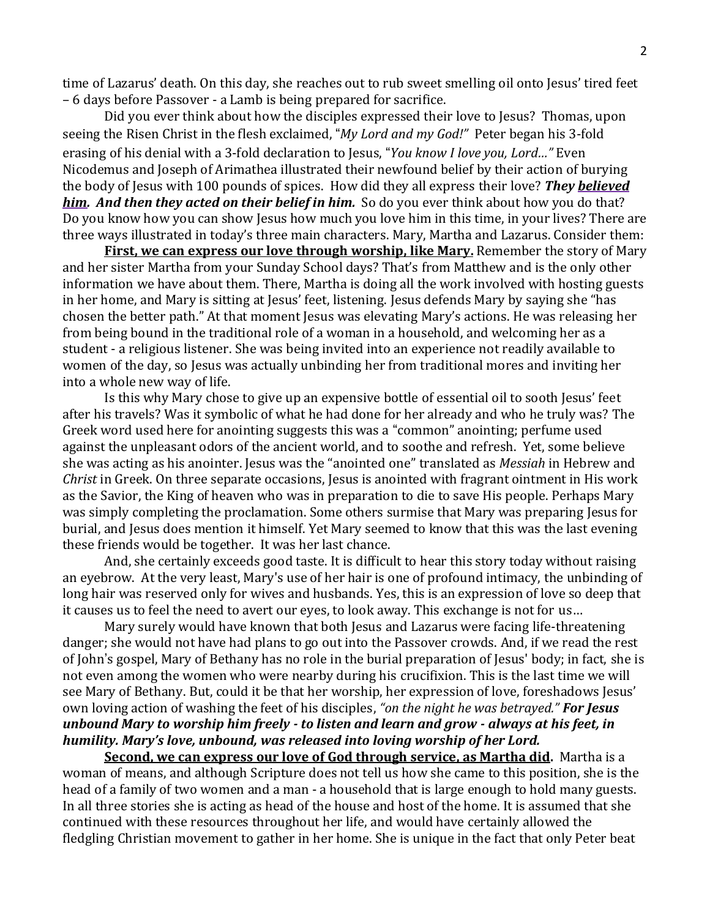time of Lazarus' death. On this day, she reaches out to rub sweet smelling oil onto Jesus' tired feet – 6 days before Passover - a Lamb is being prepared for sacrifice.

Did you ever think about how the disciples expressed their love to Jesus? Thomas, upon seeing the Risen Christ in the flesh exclaimed, "*My Lord and my God!"* Peter began his 3-fold erasing of his denial with a 3-fold declaration to Jesus, "*You know I love you, Lord…"* Even Nicodemus and Joseph of Arimathea illustrated their newfound belief by their action of burying the body of Jesus with 100 pounds of spices. How did they all express their love? *They believed him. And then they acted on their belief in him.* So do you ever think about how you do that? Do you know how you can show Jesus how much you love him in this time, in your lives? There are three ways illustrated in today's three main characters. Mary, Martha and Lazarus. Consider them:

**First, we can express our love through worship, like Mary.** Remember the story of Mary and her sister Martha from your Sunday School days? That's from Matthew and is the only other information we have about them. There, Martha is doing all the work involved with hosting guests in her home, and Mary is sitting at Jesus' feet, listening. Jesus defends Mary by saying she "has chosen the better path." At that moment Jesus was elevating Mary's actions. He was releasing her from being bound in the traditional role of a woman in a household, and welcoming her as a student - a religious listener. She was being invited into an experience not readily available to women of the day, so Jesus was actually unbinding her from traditional mores and inviting her into a whole new way of life.

Is this why Mary chose to give up an expensive bottle of essential oil to sooth Jesus' feet after his travels? Was it symbolic of what he had done for her already and who he truly was? The Greek word used here for anointing suggests this was a "common" anointing; perfume used against the unpleasant odors of the ancient world, and to soothe and refresh. Yet, some believe she was acting as his anointer. Jesus was the "anointed one" translated as *Messiah* in Hebrew and *Christ* in Greek. On three separate occasions, Jesus is anointed with fragrant ointment in His work as the Savior, the King of heaven who was in preparation to die to save His people. Perhaps Mary was simply completing the proclamation. Some others surmise that Mary was preparing Jesus for burial, and Jesus does mention it himself. Yet Mary seemed to know that this was the last evening these friends would be together. It was her last chance.

And, she certainly exceeds good taste. It is difficult to hear this story today without raising an eyebrow. At the very least, Mary's use of her hair is one of profound intimacy, the unbinding of long hair was reserved only for wives and husbands. Yes, this is an expression of love so deep that it causes us to feel the need to avert our eyes, to look away. This exchange is not for us…

Mary surely would have known that both Jesus and Lazarus were facing life-threatening danger; she would not have had plans to go out into the Passover crowds. And, if we read the rest of John 's gospel, Mary of Bethany has no role in the burial preparation of Jesus' body; in fact, she is not even among the women who were nearby during his crucifixion. This is the last time we will see Mary of Bethany. But, could it be that her worship, her expression of love, foreshadows Jesus' own loving action of washing the feet of his disciples, *"on the night he was betrayed." For Jesus unbound Mary to worship him freely - to listen and learn and grow - always at his feet, in humility. Mary's love, unbound, was released into loving worship of her Lord.*

**Second, we can express our love of God through service, as Martha did.** Martha is a woman of means, and although Scripture does not tell us how she came to this position, she is the head of a family of two women and a man - a household that is large enough to hold many guests. In all three stories she is acting as head of the house and host of the home. It is assumed that she continued with these resources throughout her life, and would have certainly allowed the fledgling Christian movement to gather in her home. She is unique in the fact that only Peter beat